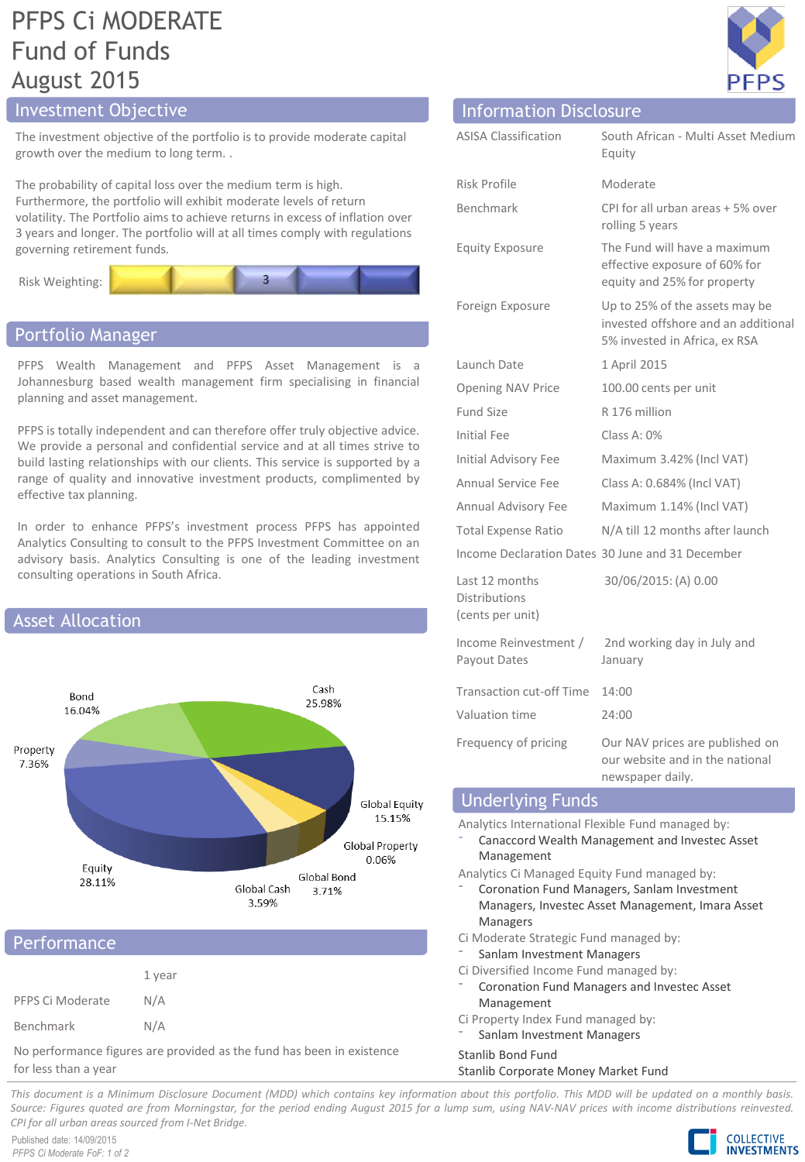## PFPS Ci MODERATE Fund of Funds August 2015

## **Investment Objective Information Disclosure**

The investment objective of the portfolio is to provide moderate capital growth over the medium to long term. .

The probability of capital loss over the medium term is high. Furthermore, the portfolio will exhibit moderate levels of return volatility. The Portfolio aims to achieve returns in excess of inflation over 3 years and longer. The portfolio will at all times comply with regulations governing retirement funds.



## Portfolio Manager

PFPS Wealth Management and PFPS Asset Management is a Johannesburg based wealth management firm specialising in financial planning and asset management.

PFPS is totally independent and can therefore offer truly objective advice. We provide a personal and confidential service and at all times strive to build lasting relationships with our clients. This service is supported by a range of quality and innovative investment products, complimented by effective tax planning.

In order to enhance PFPS's investment process PFPS has appointed Analytics Consulting to consult to the PFPS Investment Committee on an advisory basis. Analytics Consulting is one of the leading investment consulting operations in South Africa.



## **Performance**

|                  | 1 year |
|------------------|--------|
| PFPS Ci Moderate | N/A    |
| Benchmark        | N/A    |

No performance figures are provided as the fund has been in existence for less than a year

| $\subseteq$<br>₽<br>μ |  |
|-----------------------|--|

| illiulillatiuli Disclusul E                                |                                                                                                        |
|------------------------------------------------------------|--------------------------------------------------------------------------------------------------------|
| <b>ASISA Classification</b>                                | South African - Multi Asset Medium<br>Equity                                                           |
| <b>Risk Profile</b>                                        | Moderate                                                                                               |
| Benchmark                                                  | CPI for all urban areas + 5% over<br>rolling 5 years                                                   |
| <b>Equity Exposure</b>                                     | The Fund will have a maximum<br>effective exposure of 60% for<br>equity and 25% for property           |
| Foreign Exposure                                           | Up to 25% of the assets may be<br>invested offshore and an additional<br>5% invested in Africa, ex RSA |
| Launch Date                                                | 1 April 2015                                                                                           |
| <b>Opening NAV Price</b>                                   | 100.00 cents per unit                                                                                  |
| Fund Size                                                  | R 176 million                                                                                          |
| Initial Fee                                                | Class A: 0%                                                                                            |
| <b>Initial Advisory Fee</b>                                | Maximum 3.42% (Incl VAT)                                                                               |
| <b>Annual Service Fee</b>                                  | Class A: 0.684% (Incl VAT)                                                                             |
| Annual Advisory Fee                                        | Maximum 1.14% (Incl VAT)                                                                               |
| <b>Total Expense Ratio</b>                                 | N/A till 12 months after launch                                                                        |
|                                                            | Income Declaration Dates 30 June and 31 December                                                       |
| Last 12 months<br><b>Distributions</b><br>(cents per unit) | 30/06/2015: (A) 0.00                                                                                   |
| Income Reinvestment /<br>Payout Dates                      | 2nd working day in July and<br>January                                                                 |
| Transaction cut-off Time                                   | 14:00                                                                                                  |
| Valuation time                                             | 24:00                                                                                                  |
| Frequency of pricing                                       | Our NAV prices are published on<br>our website and in the national<br>newspaper daily.                 |
| <b>Underlying Funds</b>                                    |                                                                                                        |

Analytics International Flexible Fund managed by:

⁻ Canaccord Wealth Management and Investec Asset Management

Analytics Ci Managed Equity Fund managed by:

- ⁻ Coronation Fund Managers, Sanlam Investment Managers, Investec Asset Management, Imara Asset Managers
- Ci Moderate Strategic Fund managed by:
- Sanlam Investment Managers
- Ci Diversified Income Fund managed by:
- ⁻ Coronation Fund Managers and Investec Asset Management
- Ci Property Index Fund managed by:
- Sanlam Investment Managers

## Stanlib Bond Fund

## Stanlib Corporate Money Market Fund

This document is a Minimum Disclosure Document (MDD) which contains key information about this portfolio. This MDD will be updated on a monthly basis. Source: Figures quoted are from Morningstar, for the period ending August 2015 for a lump sum, using NAV-NAV prices with income distributions reinvested. *CPI for all urban areas sourced from I-Net Bridge.*

Published date: 14/09/2015 *PFPS Ci Moderate FoF: 1 of 2*